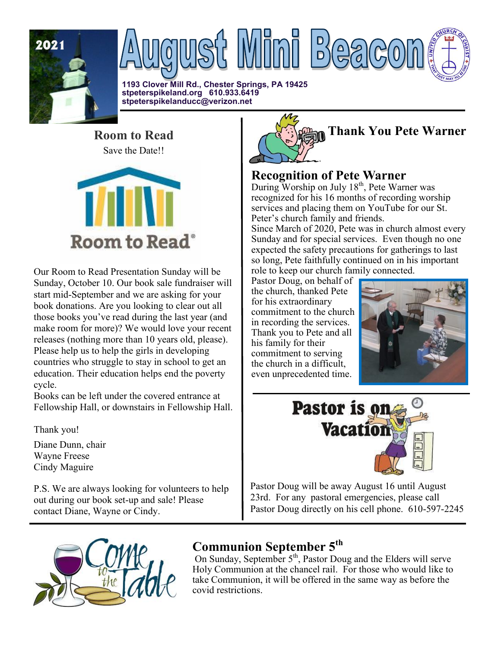

**1193 Clover Mill Rd., Chester Springs, PA 19425 stpeterspikeland.org 610.933.6419 stpeterspikelanducc@verizon.net**

**Room to Read**  Save the Date!!



Our Room to Read Presentation Sunday will be Sunday, October 10. Our book sale fundraiser will start mid-September and we are asking for your book donations. Are you looking to clear out all those books you've read during the last year (and make room for more)? We would love your recent releases (nothing more than 10 years old, please). Please help us to help the girls in developing countries who struggle to stay in school to get an education. Their education helps end the poverty cycle.

Books can be left under the covered entrance at Fellowship Hall, or downstairs in Fellowship Hall.

Thank you!

Diane Dunn, chair Wayne Freese Cindy Maguire

P.S. We are always looking for volunteers to help out during our book set-up and sale! Please contact Diane, Wayne or Cindy.



## **Recognition of Pete Warner**

During Worship on July  $18<sup>th</sup>$ , Pete Warner was recognized for his 16 months of recording worship services and placing them on YouTube for our St. Peter's church family and friends.

Since March of 2020, Pete was in church almost every Sunday and for special services. Even though no one expected the safety precautions for gatherings to last so long, Pete faithfully continued on in his important role to keep our church family connected.

Pastor Doug, on behalf of the church, thanked Pete for his extraordinary commitment to the church in recording the services. Thank you to Pete and all his family for their commitment to serving the church in a difficult, even unprecedented time.





Pastor Doug will be away August 16 until August 23rd. For any pastoral emergencies, please call Pastor Doug directly on his cell phone. 610-597-2245



# **Communion September 5th**

On Sunday, September 5<sup>th</sup>, Pastor Doug and the Elders will serve Holy Communion at the chancel rail. For those who would like to take Communion, it will be offered in the same way as before the covid restrictions.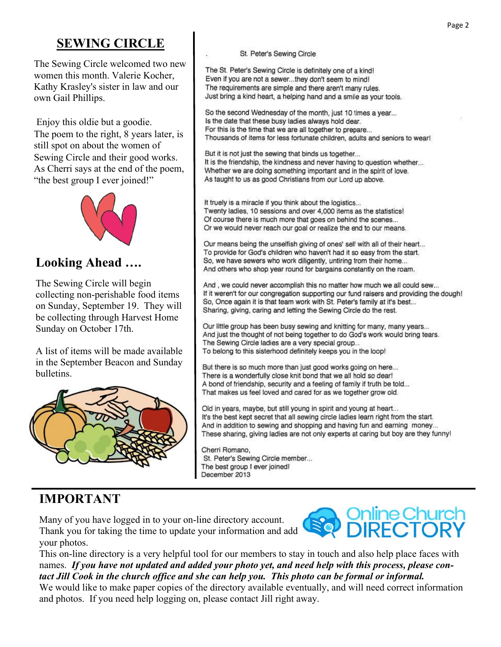## **SEWING CIRCLE**

The Sewing Circle welcomed two new women this month. Valerie Kocher, Kathy Krasley's sister in law and our own Gail Phillips.

Enjoy this oldie but a goodie. The poem to the right, 8 years later, is still spot on about the women of Sewing Circle and their good works. As Cherri says at the end of the poem, "the best group I ever joined!"



## **Looking Ahead ….**

The Sewing Circle will begin collecting non-perishable food items on Sunday, September 19. They will be collecting through Harvest Home Sunday on October 17th.

A list of items will be made available in the September Beacon and Sunday bulletins.



## **IMPORTANT**

Many of you have logged in to your on-line directory account. Thank you for taking the time to update your information and add your photos.



This on-line directory is a very helpful tool for our members to stay in touch and also help place faces with names. *If you have not updated and added your photo yet, and need help with this process, please contact Jill Cook in the church office and she can help you. This photo can be formal or informal.* We would like to make paper copies of the directory available eventually, and will need correct information and photos. If you need help logging on, please contact Jill right away.

St. Peter's Sewing Circle member... The best group I ever joined!

Cherri Romano,

December 2013

St. Peter's Sewing Circle

The St. Peter's Sewing Circle is definitely one of a kind! Even if you are not a sewer...they don't seem to mind! The requirements are simple and there aren't many rules. Just bring a kind heart, a helping hand and a smile as your tools.

So the second Wednesday of the month, just 10 times a year... Is the date that these busy ladies always hold dear. For this is the time that we are all together to prepare... Thousands of items for less fortunate children, adults and seniors to wear!

But it is not just the sewing that binds us together... It is the friendship, the kindness and never having to question whether... Whether we are doing something important and in the spirit of love. As taught to us as good Christians from our Lord up above.

It truely is a miracle if you think about the logistics... Twenty ladies, 10 sessions and over 4,000 items as the statistics! Of course there is much more that goes on behind the scenes... Or we would never reach our goal or realize the end to our means.

Our means being the unselfish giving of ones' self with all of their heart... To provide for God's children who haven't had it so easy from the start. So, we have sewers who work diligently, untiring from their home... And others who shop year round for bargains constantly on the roam.

And, we could never accomplish this no matter how much we all could sew... If it weren't for our congregation supporting our fund raisers and providing the dough! So, Once again it is that team work with St. Peter's family at it's best... Sharing, giving, caring and letting the Sewing Circle do the rest.

Our little group has been busy sewing and knitting for many, many years... And just the thought of not being together to do God's work would bring tears. The Sewing Circle ladies are a very special group... To belong to this sisterhood definitely keeps you in the loop!

But there is so much more than just good works going on here... There is a wonderfully close knit bond that we all hold so dear! A bond of friendship, security and a feeling of family if truth be told... That makes us feel loved and cared for as we together grow old.

Old in years, maybe, but still young in spirit and young at heart... It's the best kept secret that all sewing circle ladies learn right from the start. And in addition to sewing and shopping and having fun and earning money... These sharing, giving ladies are not only experts at caring but boy are they funny!

Page 2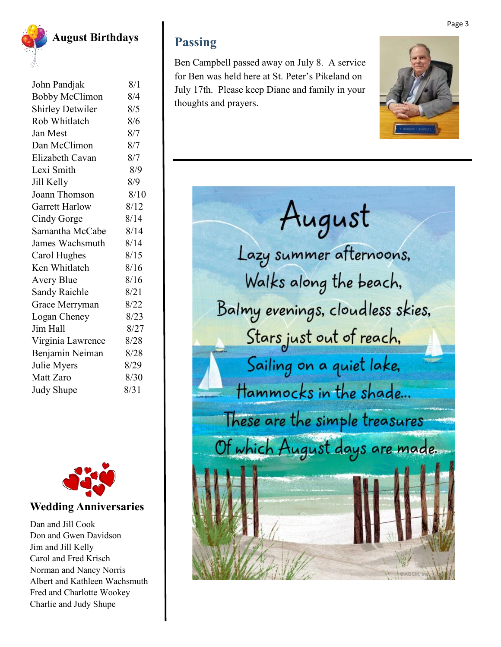

**August Birthdays**

| John Pandjak            | 8/1  |
|-------------------------|------|
| <b>Bobby McClimon</b>   | 8/4  |
| <b>Shirley Detwiler</b> | 8/5  |
| Rob Whitlatch           | 8/6  |
| Jan Mest                | 8/7  |
| Dan McClimon            | 8/7  |
| Elizabeth Cavan         | 8/7  |
| Lexi Smith              | 8/9  |
| Jill Kelly              | 8/9  |
| Joann Thomson           | 8/10 |
| <b>Garrett Harlow</b>   | 8/12 |
| Cindy Gorge             | 8/14 |
| Samantha McCabe         | 8/14 |
| James Wachsmuth         | 8/14 |
| Carol Hughes            | 8/15 |
| Ken Whitlatch           | 8/16 |
| <b>Avery Blue</b>       | 8/16 |
| <b>Sandy Raichle</b>    | 8/21 |
| Grace Merryman          | 8/22 |
| Logan Cheney            | 8/23 |
| Jim Hall                | 8/27 |
| Virginia Lawrence       | 8/28 |
| Benjamin Neiman         | 8/28 |
| Julie Myers             | 8/29 |
| Matt Zaro               | 8/30 |
| <b>Judy Shupe</b>       | 8/31 |
|                         |      |



## **Wedding Anniversaries**

Dan and Jill Cook Don and Gwen Davidson Jim and Jill Kelly Carol and Fred Krisch Norman and Nancy Norris Albert and Kathleen Wachsmuth Fred and Charlotte Wookey Charlie and Judy Shupe

## **Passing**

Ben Campbell passed away on July 8. A service for Ben was held here at St. Peter's Pikeland on July 17th. Please keep Diane and family in your thoughts and prayers.



# August Lazy summer afternoons, Walks along the beach, Balmy evenings, cloudless skies, Stars just out of reach, Sailing on a quiet lake, Hammocks in the shade... These are the simple treasures Of which August days are made.